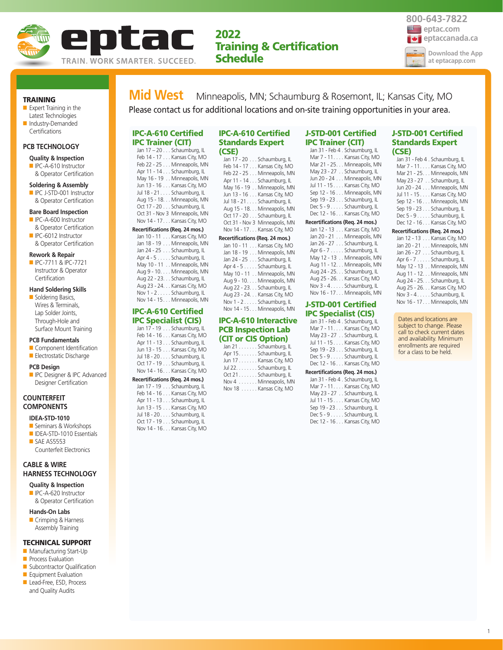

# **2022 Training & Certification Schedule**



#### **TRAINING**

■ Expert Training in the Latest Technologies ■ Industry-Demanded

# **PCB TECHNOLOGY**

**Certifications** 

# **Quality & Inspection**

■ IPC-A-610 Instructor & Operator Certification

# **Soldering & Assembly**

■ IPC J-STD-001 Instructor & Operator Certification

#### **Bare Board Inspection**

- IPC-A-600 Instructor & Operator Certification
- IPC-6012 Instructor & Operator Certification

#### **Rework & Repair**

■ IPC-7711 & IPC-7721 Instructor & Operator **Certification** 

# **Hand Soldering Skills**

■ Soldering Basics, Wires & Terminals, Lap Solder Joints, Through-Hole and Surface Mount Training

#### **PCB Fundamentals**

■ Component Identification ■ Electrostatic Discharge

# **PCB Design**

**ID** IPC Designer & IPC Advanced Designer Certification

# **COUNTERFEIT COMPONENTS**

# **IDEA-STD-1010**

- Seminars & Workshops
- IDEA-STD-1010 Essentials ■ SAE AS5553 Counterfeit Electronics

# **CABLE & WIRE HARNESS TECHNOLOGY**

**Quality & Inspection** ■ IPC-A-620 Instructor

& Operator Certification

### **Hands-On Labs**

■ Crimping & Harness Assembly Training

### **TECHNICAL SUPPORT**

- Manufacturing Start-Up
- **Process Evaluation**
- Subcontractor Qualification ■ Equipment Evaluation
- Lead-Free, ESD, Process
- and Quality Audits

# **Mid West** Minneapolis, MN; Schaumburg & Rosemont, IL; Kansas City, MO Please contact us for additional locations and on-site training opportunities in your area.

### **IPC-A-610 Certified IPC Trainer (CIT)** Jan 17 – 20 . . . Schaumburg, IL

Feb 14 - 17 . . . Kansas City, MO Feb 22 - 25 . . . Minneapolis, MN Apr 11 - 14 . . . Schaumburg, IL May 16 - 19 . . Minneapolis, MN Jun 13 - 16 . . . Kansas City, MO Jul 18 - 21 . . . . Schaumburg, IL Aug 15 - 18. . . Minneapolis, MN Oct 17 - 20 . . . Schaumburg, IL Oct 31 - Nov 3 Minneapolis, MN Nov 14 - 17. . . Kansas City, MO **Recertifications (Req. 24 mos.)** Jan 10 - 11 . . . Kansas City, MO

Jan 18 - 19 . . . Minneapolis, MN Jan 24 - 25 . . . Schaumburg, IL Apr 4 - 5 . . . . . Schaumburg, IL May 10 - 11 . . Minneapolis, MN Aug 9 - 10. . . . Minneapolis, MN Aug 22 - 23. . . Schaumburg, IL Aug 23 - 24. . . Kansas City, MO Nov 1 - 2 . . . . . Schaumburg, IL Nov 14 - 15. . . Minneapolis, MN

# **IPC-A-610 Certified IPC Specialist (CIS)**

Jan 17 - 19 . . . Schaumburg, IL Feb 14 - 16 . . . Kansas City, MO Apr 11 - 13 . . . Schaumburg, IL Jun 13 - 15 . . . Kansas City, MO Jul 18 - 20 . . . . Schaumburg, IL Oct 17 - 19 . . . Schaumburg, IL Nov 14 - 16. . . Kansas City, MO **Recertifications (Req. 24 mos.)** Jan 17 - 19 . . . Schaumburg, II

| Feb 14 - 16 Kansas City, MO  |
|------------------------------|
| Apr 11 - 13 Schaumburg, IL   |
| Jun 13 - 15 Kansas City, MO  |
| Jul 18 - 20 Schaumburg, IL   |
| Oct 17 - 19 Schaumburg, IL   |
| Nov 14 - 16. Kansas City, MO |
|                              |

### **IPC-A-610 Certified Standards Expert (CSE)**

| Jan 17 - 20 Schaumburg, IL     |
|--------------------------------|
| Feb 14 - 17 Kansas City, MO    |
| Feb 22 - 25 Minneapolis, MN    |
| Apr 11 - 14 Schaumburg, IL     |
| May 16 - 19 Minneapolis, MN    |
| Jun 13 - 16 Kansas City, MO    |
| Jul 18 - 21 Schaumburg, IL     |
| Aug 15 - 18. Minneapolis, MN   |
| Oct 17 - 20 Schaumburg, IL     |
| Oct 31 - Nov 3 Minneapolis, MN |
| Nov 14 - 17. Kansas City, MO   |
|                                |

|  | Recertifications (Req. 24 mos.) |
|--|---------------------------------|
|  | Jan 10 - 11 Kansas City, MO     |
|  | Jan 18 - 19 Minneapolis, MN     |
|  | Jan 24 - 25 Schaumburg, IL      |
|  | Apr 4 - 5 Schaumburg, IL        |
|  | May 10 - 11 Minneapolis, MN     |
|  | Aug 9 - 10. Minneapolis, MN     |
|  | Aug 22 - 23. Schaumburg, IL     |
|  | Aug 23 - 24. Kansas City, MO    |
|  | Nov 1 - 2 Schaumburg, IL        |
|  | Nov 14 - 15. Minneapolis, MN    |

# **IPC-A-610 Interactive PCB Inspection Lab (CIT or CIS Option)**

| Jan 21 Schaumburg, IL  |                        |
|------------------------|------------------------|
| Apr 15. Schaumburg, IL |                        |
|                        | Jun 17 Kansas City, MO |
| Jul 22. Schaumburg, IL |                        |
| Oct 21 Schaumburg, IL  |                        |
|                        | Nov 4 Minneapolis, MN  |
|                        | Nov 18 Kansas City, MO |

#### **J-STD-001 Certified IPC Trainer (CIT)**  Jan 31 - Feb 4 . Schaumburg, IL

|                                 | Mar 7 - 11. Kansas City, MO  |
|---------------------------------|------------------------------|
|                                 | Mar 21 - 25. Minneapolis, MN |
|                                 | May 23 - 27 Schaumburg, IL   |
|                                 | Jun 20 - 24 Minneapolis, MN  |
|                                 | Jul 11 - 15 Kansas City, MO  |
|                                 | Sep 12 - 16 Minneapolis, MN  |
|                                 | Sep 19 - 23 Schaumburg, IL   |
|                                 | Dec 5 - 9 Schaumburg, IL     |
|                                 | Dec 12 - 16 Kansas City, MO  |
| Recertifications (Reg. 24 mos.) |                              |
|                                 | $1 - 42$ $12$ $12 - 12$      |

| Jan 12 - 13 Kansas City, MO  |
|------------------------------|
| Jan 20 - 21 Minneapolis, MN  |
| Jan 26 - 27 Schaumburg, IL   |
| Apr 6 - 7 Schaumburg, IL     |
| May 12 - 13 Minneapolis, MN  |
| Aug 11 - 12. Minneapolis, MN |
| Aug 24 - 25. Schaumburg, IL  |
| Aug 25 - 26. Kansas City, MO |
| Nov 3 - 4. Schaumburg, IL    |
| Nov 16 - 17. Minneapolis. MN |

# **J-STD-001 Certified IPC Specialist (CIS)**

|  | Jan 31 - Feb 4 . Schaumburg, IL |
|--|---------------------------------|
|  | Mar 7 - 11. Kansas City, MO     |
|  | May 23 - 27 Schaumburg, IL      |
|  | Jul 11 - 15 Kansas City, MO     |
|  | Sep 19 - 23 Schaumburg, IL      |
|  | Dec 5 - 9 Schaumburg, IL        |
|  | Dec 12 - 16 Kansas City, MO     |

#### **Recertifications (Req. 24 mos.)**

| Jan 31 - Feb 4 . Schaumburg, IL |
|---------------------------------|
| Mar 7 - 11. Kansas City, MO     |
| May 23 - 27 Schaumburg, IL      |
| Jul 11 - 15 Kansas City, MO     |
| Sep 19 - 23 Schaumburg, IL      |
| Dec 5 - 9 Schaumburg, IL        |
| Dec 12 - 16 Kansas City, MO     |

### **J-STD-001 Certified Standards Expert (CSE)**

| Jan 31 - Feb 4 . Schaumburg, IL |
|---------------------------------|
| Mar 7 - 11. Kansas City, MO     |
| Mar 21 - 25. Minneapolis, MN    |
| May 23 - 27 Schaumburg, IL      |
| Jun 20 - 24 Minneapolis, MN     |
| Jul 11 - 15 Kansas City, MO     |
| Sep 12 - 16 Minneapolis, MN     |
| Sep 19 - 23 Schaumburg, IL      |
| Dec 5 - 9 Schaumburg, IL        |
| Dec 12 - 16 Kansas City, MO     |
| Recertifications (Reg. 24 mos.) |
| Jan 12 - 13 Kansas City, MO     |
| Jan 20 - 21 Minneapolis, MN     |
| Jan 26 - 27 Schaumburg, IL      |
| $\Delta$ nr 6 - 7 Schaumhurg II |

| Apr 6 - 7 Schaumburg, IL     |
|------------------------------|
| May 12 - 13 Minneapolis, MN  |
| Aug 11 - 12. Minneapolis, MN |
| Aug 24 - 25. Schaumburg, IL  |
| Aug 25 - 26. Kansas City, MO |
| Nov 3 - 4 Schaumburg, IL     |
| Nov 16 - 17. Minneapolis, MN |
|                              |

Dates and locations are subject to change. Please call to check current dates and availability. Minimum enrollments are required for a class to be held.